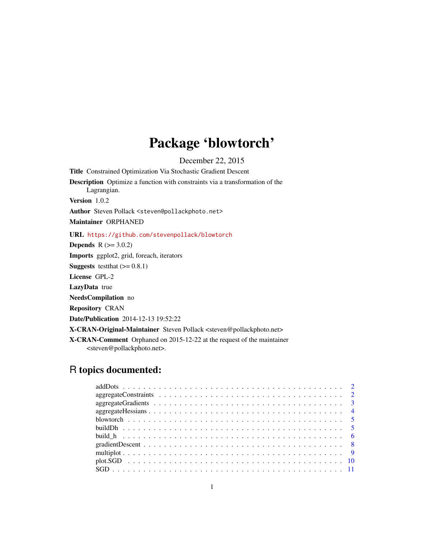# Package 'blowtorch'

December 22, 2015

Title Constrained Optimization Via Stochastic Gradient Descent Description Optimize a function with constraints via a transformation of the Lagrangian. Version 1.0.2 Author Steven Pollack <steven@pollackphoto.net> Maintainer ORPHANED URL <https://github.com/stevenpollack/blowtorch> **Depends** R  $(>= 3.0.2)$ Imports ggplot2, grid, foreach, iterators **Suggests** test that  $(>= 0.8.1)$ License GPL-2 LazyData true NeedsCompilation no Repository CRAN Date/Publication 2014-12-13 19:52:22

X-CRAN-Original-Maintainer Steven Pollack <steven@pollackphoto.net>

X-CRAN-Comment Orphaned on 2015-12-22 at the request of the maintainer <steven@pollackphoto.net>.

# R topics documented: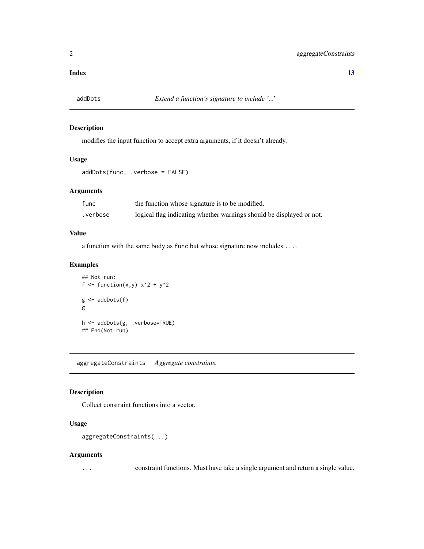#### <span id="page-1-0"></span>**Index** [13](#page-12-0)

# Description

modifies the input function to accept extra arguments, if it doesn't already.

# Usage

```
addDots(func, .verbose = FALSE)
```
# Arguments

| func     | the function whose signature is to be modified.                      |
|----------|----------------------------------------------------------------------|
| .verbose | logical flag indicating whether warnings should be displayed or not. |

# Value

a function with the same body as func but whose signature now includes ....

# Examples

```
## Not run:
f <- function(x,y) x^2 + y^2g \leftarrow addDots(f)g
h <- addDots(g, .verbose=TRUE)
## End(Not run)
```
<span id="page-1-1"></span>aggregateConstraints *Aggregate constraints.*

# Description

Collect constraint functions into a vector.

# Usage

```
aggregateConstraints(...)
```
#### Arguments

... constraint functions. Must have take a single argument and return a single value.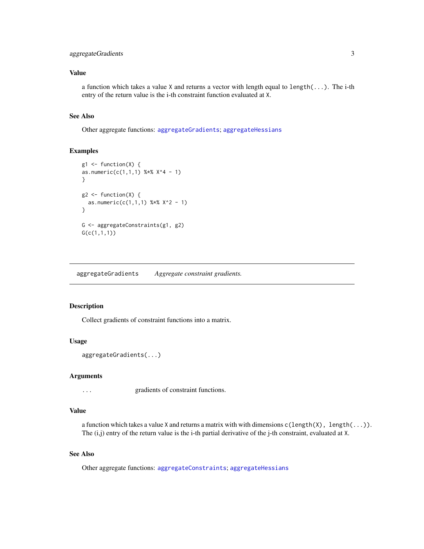# <span id="page-2-0"></span>aggregateGradients 3

# Value

a function which takes a value X and returns a vector with length equal to length(...). The i-th entry of the return value is the i-th constraint function evaluated at X.

#### See Also

Other aggregate functions: [aggregateGradients](#page-2-1); [aggregateHessians](#page-3-1)

#### Examples

```
g1 \leftarrow function(X) {
as.numeric(c(1,1,1) %x X^4 - 1)
}
g2 \leftarrow function(X) {
  as.numeric(c(1,1,1) %x^2 - 1)
}
G <- aggregateConstraints(g1, g2)
G(c(1,1,1))
```
<span id="page-2-1"></span>aggregateGradients *Aggregate constraint gradients.*

#### Description

Collect gradients of constraint functions into a matrix.

#### Usage

```
aggregateGradients(...)
```
#### Arguments

... gradients of constraint functions.

#### Value

a function which takes a value X and returns a matrix with with dimensions  $c(length(X), length(...))$ . The  $(i,j)$  entry of the return value is the i-th partial derivative of the j-th constraint, evaluated at X.

# See Also

Other aggregate functions: [aggregateConstraints](#page-1-1); [aggregateHessians](#page-3-1)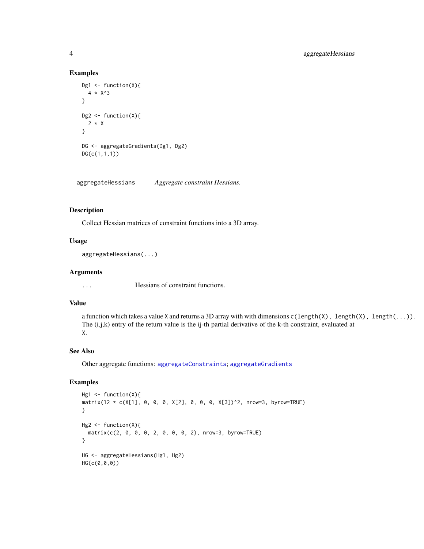#### Examples

```
Dg1 <- function(X){
  4 * X^3
}
Dg2 \leftarrow function(X){
  2 * X
}
DG <- aggregateGradients(Dg1, Dg2)
DG(c(1,1,1))
```
<span id="page-3-1"></span>aggregateHessians *Aggregate constraint Hessians.*

# Description

Collect Hessian matrices of constraint functions into a 3D array.

#### Usage

aggregateHessians(...)

#### Arguments

... Hessians of constraint functions.

#### Value

a function which takes a value X and returns a 3D array with with dimensions c(length(X), length(X), length(...)). The (i,j,k) entry of the return value is the ij-th partial derivative of the k-th constraint, evaluated at X.

# See Also

Other aggregate functions: [aggregateConstraints](#page-1-1); [aggregateGradients](#page-2-1)

#### Examples

```
Hg1 <- function(X){
matrix(12 * c(X[1], 0, 0, 0, X[2], 0, 0, 0, X[3])^2, nrow=3, byrow=TRUE)
}
Hg2 \leftarrow function(X){
 matrix(c(2, 0, 0, 0, 2, 0, 0, 0, 2), nrow=3, byrow=TRUE)
}
HG <- aggregateHessians(Hg1, Hg2)
HG(c(0,0,0))
```
<span id="page-3-0"></span>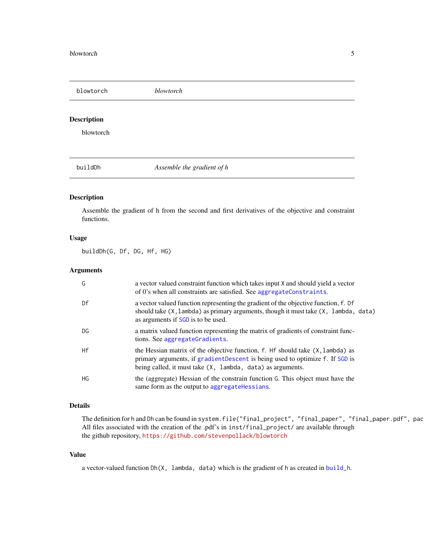<span id="page-4-0"></span>blowtorch *blowtorch*

# Description

blowtorch

<span id="page-4-1"></span>buildDh *Assemble the gradient of h*

#### Description

Assemble the gradient of h from the second and first derivatives of the objective and constraint functions.

#### Usage

buildDh(G, Df, DG, Hf, HG)

# Arguments

| G         | a vector valued constraint function which takes input X and should yield a vector<br>of 0's when all constraints are satisfied. See aggregateConstraints.                                                                            |
|-----------|--------------------------------------------------------------------------------------------------------------------------------------------------------------------------------------------------------------------------------------|
| Df        | a vector valued function representing the gradient of the objective function, f. Df<br>should take $(X, \text{lambda})$ as primary arguments, though it must take $(X, \text{lambda})$ , data)<br>as arguments if SGD is to be used. |
| DG        | a matrix valued function representing the matrix of gradients of constraint func-<br>tions. See aggregateGradients.                                                                                                                  |
| Hf        | the Hessian matrix of the objective function, f. Hf should take (X, lambda) as<br>primary arguments, if gradientDescent is being used to optimize f. If SGD is<br>being called, it must take (X, lambda, data) as arguments.         |
| <b>HG</b> | the (aggregate) Hessian of the constrain function G. This object must have the<br>same form as the output to aggregate Hessians.                                                                                                     |

#### Details

The definition for h and Dh can be found in system.file("final\_project", "final\_paper", "final\_paper.pdf", pac All files associated with the creation of the .pdf's in inst/final\_project/ are available through the github repository, <https://github.com/stevenpollack/blowtorch>

#### Value

a vector-valued function Dh(X, lambda, data) which is the gradient of h as created in [build\\_h](#page-5-1).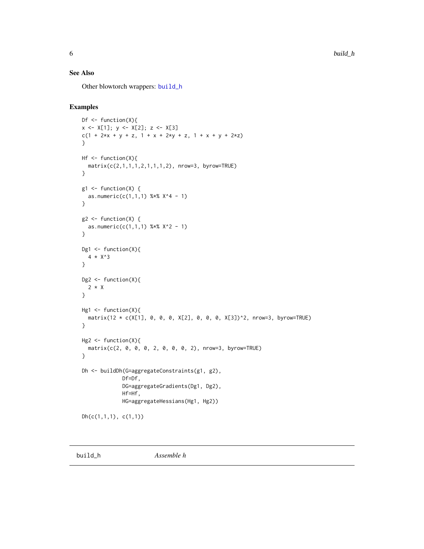# <span id="page-5-0"></span>See Also

Other blowtorch wrappers: [build\\_h](#page-5-1)

# Examples

```
Df \leftarrow function(X){
x \leftarrow X[1]; y \leftarrow X[2]; z \leftarrow X[3]c(1 + 2*x + y + z, 1 + x + 2*y + z, 1 + x + y + 2*z)}
Hf \leftarrow function(X){
  matrix(c(2,1,1,1,2,1,1,1,2), nrow=3, byrow=TRUE)
}
g1 \leftarrow function(X) {
  as.numeric(c(1,1,1) %x^{2} X^4 - 1)
}
g2 \leftarrow function(X) {
  as.numeric(c(1,1,1) % x^2 - 1)
}
Dg1 \leftarrow function(X){
  4 * X^3
}
Dg2 <- function(X){
 2 * X}
Hg1 <- function(X){
  matrix(12 * c(X[1], 0, 0, 0, X[2], 0, 0, 0, X[3])^2, nrow=3, byrow=TRUE)
}
Hg2 <- function(X){
  matrix(c(2, 0, 0, 0, 2, 0, 0, 0, 2), nrow=3, byrow=TRUE)
}
Dh <- buildDh(G=aggregateConstraints(g1, g2),
              Df=Df,
              DG=aggregateGradients(Dg1, Dg2),
              Hf=Hf,
              HG=aggregateHessians(Hg1, Hg2))
Dh(c(1,1,1), c(1,1))
```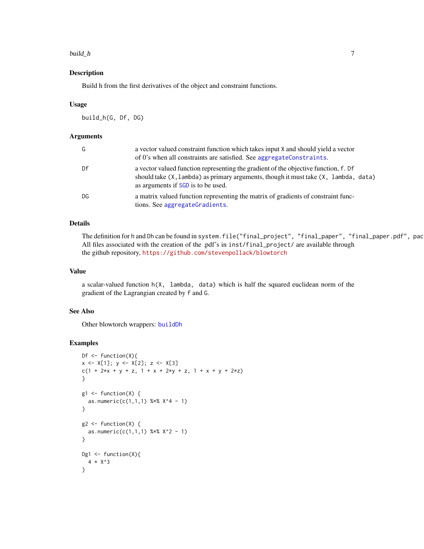#### <span id="page-6-0"></span>build\_h 7

#### Description

Build h from the first derivatives of the object and constraint functions.

#### Usage

build\_h(G, Df, DG)

#### Arguments

| G  | a vector valued constraint function which takes input X and should yield a vector<br>of 0's when all constraints are satisfied. See aggregateConstraints.                                                                            |
|----|--------------------------------------------------------------------------------------------------------------------------------------------------------------------------------------------------------------------------------------|
| Df | a vector valued function representing the gradient of the objective function, f. Df<br>should take $(X, \text{lambda})$ as primary arguments, though it must take $(X, \text{lambda})$ , data)<br>as arguments if SGD is to be used. |
| DG | a matrix valued function representing the matrix of gradients of constraint func-<br>tions. See aggregateGradients.                                                                                                                  |

#### Details

The definition for h and Dh can be found in system.file("final\_project", "final\_paper", "final\_paper.pdf", pac All files associated with the creation of the .pdf's in inst/final\_project/ are available through the github repository, <https://github.com/stevenpollack/blowtorch>

### Value

a scalar-valued function h(X, lambda, data) which is half the squared euclidean norm of the gradient of the Lagrangian created by f and G.

#### See Also

Other blowtorch wrappers: [buildDh](#page-4-1)

# Examples

```
Df \leftarrow function(X){
x \leftarrow X[1]; y \leftarrow X[2]; z \leftarrow X[3]c(1 + 2*x + y + z, 1 + x + 2*y + z, 1 + x + y + 2*z)}
g1 \leftarrow function(X) {
  as.numeric(c(1,1,1) %*% X^4 - 1)
}
g2 \le function(X) {
  as.numeric(c(1,1,1) %x X^2 - 1)
}
Dg1 <- function(X){
  4 * X^3
}
```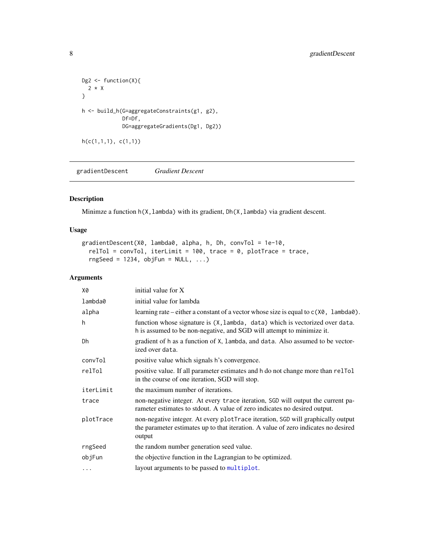```
Dg2 \leftarrow function(X){
  2 * X
}
h <- build_h(G=aggregateConstraints(g1, g2),
             Df=Df,
             DG=aggregateGradients(Dg1, Dg2))
h(c(1,1,1), c(1,1))
```
<span id="page-7-1"></span>gradientDescent *Gradient Descent*

# Description

Minimze a function  $h(X, \text{lambda})$  with its gradient, Dh(X, lambda) via gradient descent.

# Usage

```
gradientDescent(X0, lambda0, alpha, h, Dh, convTol = 1e-10,
 relTol = convTol, iterLimit = 100, trace = 0, plotTrace = trace,rngSeed = 1234, objFun = NULL, ...)
```
# Arguments

| X0        | initial value for X                                                                                                                                                             |
|-----------|---------------------------------------------------------------------------------------------------------------------------------------------------------------------------------|
| lambda0   | initial value for lambda                                                                                                                                                        |
| alpha     | learning rate – either a constant of a vector whose size is equal to $c(X\emptyset, \text{lambda}\emptyset)$ .                                                                  |
| h         | function whose signature is (X, lambda, data) which is vectorized over data.<br>h is assumed to be non-negative, and SGD will attempt to minimize it.                           |
| Dh        | gradient of h as a function of X, lambda, and data. Also assumed to be vector-<br>ized over data.                                                                               |
| convTol   | positive value which signals h's convergence.                                                                                                                                   |
| relTol    | positive value. If all parameter estimates and h do not change more than reletol<br>in the course of one iteration, SGD will stop.                                              |
| iterLimit | the maximum number of iterations.                                                                                                                                               |
| trace     | non-negative integer. At every trace iteration, SGD will output the current pa-<br>rameter estimates to stdout. A value of zero indicates no desired output.                    |
| plotTrace | non-negative integer. At every plotTrace iteration, SGD will graphically output<br>the parameter estimates up to that iteration. A value of zero indicates no desired<br>output |
| rngSeed   | the random number generation seed value.                                                                                                                                        |
| objFun    | the objective function in the Lagrangian to be optimized.                                                                                                                       |
| $\cdots$  | layout arguments to be passed to multiplot.                                                                                                                                     |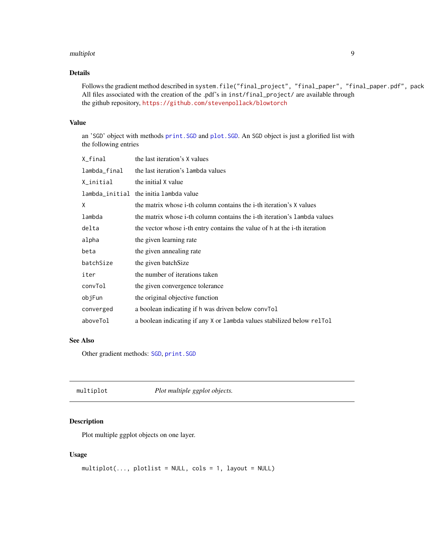#### <span id="page-8-0"></span>multiplot the contract of the contract of the contract of the contract of the contract of the contract of the contract of the contract of the contract of the contract of the contract of the contract of the contract of the

# Details

Follows the gradient method described in system.file("final\_project", "final\_paper", "final\_paper.pdf", pack All files associated with the creation of the .pdf's in inst/final\_project/ are available through the github repository, <https://github.com/stevenpollack/blowtorch>

#### Value

an 'SGD' object with methods [print.SGD](#page-10-2) and [plot.SGD](#page-9-1). An SGD object is just a glorified list with the following entries

| X_final      | the last iteration's X values                                             |
|--------------|---------------------------------------------------------------------------|
| lambda_final | the last iteration's lambda values                                        |
| X_initial    | the initial X value                                                       |
|              | lambda_initial the initia lambda value                                    |
| X            | the matrix whose i-th column contains the i-th iteration's X values       |
| lambda       | the matrix whose i-th column contains the i-th iteration's lambda values  |
| delta        | the vector whose i-th entry contains the value of h at the i-th iteration |
| alpha        | the given learning rate                                                   |
| beta         | the given annealing rate                                                  |
| batchSize    | the given batch Size                                                      |
| iter         | the number of iterations taken                                            |
| convTol      | the given convergence tolerance                                           |
| objFun       | the original objective function                                           |
| converged    | a boolean indicating if h was driven below convol                         |
| aboveTol     | a boolean indicating if any X or lambda values stabilized below rellol    |

## See Also

Other gradient methods: [SGD](#page-10-1), [print.SGD](#page-10-2)

<span id="page-8-1"></span>

| multiplot | Plot multiple ggplot objects. |
|-----------|-------------------------------|
|           |                               |

# Description

Plot multiple ggplot objects on one layer.

# Usage

```
multiplot(..., plotlist = NULL, cols = 1, layout = NULL)
```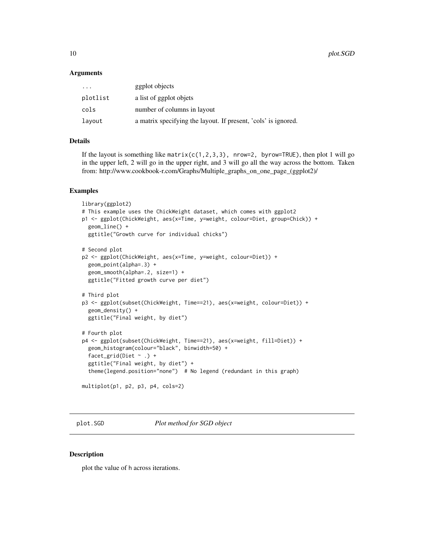#### <span id="page-9-0"></span>**Arguments**

| $\cdots$ | ggplot objects                                                 |
|----------|----------------------------------------------------------------|
| plotlist | a list of ggplot objets                                        |
| cols     | number of columns in layout                                    |
| layout   | a matrix specifying the layout. If present, 'cols' is ignored. |

#### Details

If the layout is something like matrix( $c(1,2,3,3)$ , nrow=2, byrow=TRUE), then plot 1 will go in the upper left, 2 will go in the upper right, and 3 will go all the way across the bottom. Taken from: http://www.cookbook-r.com/Graphs/Multiple\_graphs\_on\_one\_page\_(ggplot2)/

#### Examples

```
library(ggplot2)
# This example uses the ChickWeight dataset, which comes with ggplot2
p1 <- ggplot(ChickWeight, aes(x=Time, y=weight, colour=Diet, group=Chick)) +
  geom_line() +
  ggtitle("Growth curve for individual chicks")
# Second plot
p2 <- ggplot(ChickWeight, aes(x=Time, y=weight, colour=Diet)) +
  geom_point(alpha=.3) +
  geom_smooth(alpha=.2, size=1) +
  ggtitle("Fitted growth curve per diet")
# Third plot
p3 <- ggplot(subset(ChickWeight, Time==21), aes(x=weight, colour=Diet)) +
  geom_density() +
  ggtitle("Final weight, by diet")
# Fourth plot
p4 <- ggplot(subset(ChickWeight, Time==21), aes(x=weight, fill=Diet)) +
  geom_histogram(colour="black", binwidth=50) +
  facet_grid(Diet \sim .) +
  ggtitle("Final weight, by diet") +
  theme(legend.position="none") # No legend (redundant in this graph)
multiplot(p1, p2, p3, p4, cols=2)
```
<span id="page-9-1"></span>plot.SGD *Plot method for SGD object*

# Description

plot the value of h across iterations.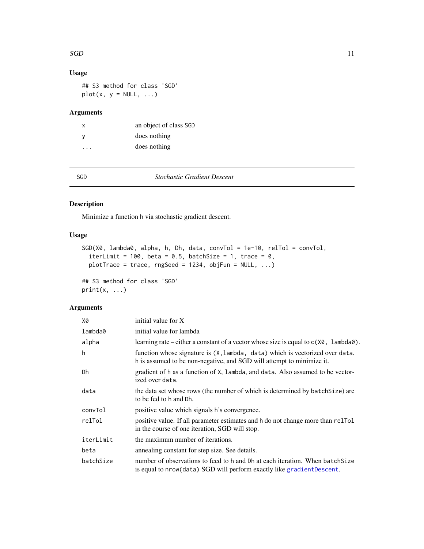#### <span id="page-10-0"></span> $SGD$  11

# Usage

## S3 method for class 'SGD'  $plot(x, y = NULL, ...)$ 

# Arguments

| X  | an object of class SGD |
|----|------------------------|
| -V | does nothing           |
| .  | does nothing           |

<span id="page-10-1"></span>

SGD *Stochastic Gradient Descent*

# <span id="page-10-2"></span>Description

Minimize a function h via stochastic gradient descent.

# Usage

```
SGD(X0, lambda0, alpha, h, Dh, data, convTol = 1e-10, relTol = convTol,
  iterLimit = 100, beta = 0.5, batchSize = 1, trace = 0,
 plotTrace = trace, rngSeed = 1234, objFun = NULL, ...)
## S3 method for class 'SGD'
```
 $print(x, \ldots)$ 

# Arguments

| X0        | initial value for X                                                                                                                                     |
|-----------|---------------------------------------------------------------------------------------------------------------------------------------------------------|
| lambda0   | initial value for lambda                                                                                                                                |
| alpha     | learning rate – either a constant of a vector whose size is equal to $c(X\theta)$ , lambda $\theta$ ).                                                  |
| h         | function whose signature is (X, lambda, data) which is vectorized over data.<br>h is assumed to be non-negative, and SGD will attempt to minimize it.   |
| Dh        | gradient of h as a function of X, lambda, and data. Also assumed to be vector-<br>ized over data.                                                       |
| data      | the data set whose rows (the number of which is determined by batch Size) are<br>to be fed to h and Dh.                                                 |
| convTol   | positive value which signals h's convergence.                                                                                                           |
| relTol    | positive value. If all parameter estimates and h do not change more than related<br>in the course of one iteration, SGD will stop.                      |
| iterLimit | the maximum number of iterations.                                                                                                                       |
| beta      | annealing constant for step size. See details.                                                                                                          |
| batchSize | number of observations to feed to h and Dh at each iteration. When batchSize<br>is equal to nrow (data) SGD will perform exactly like gradient Descent. |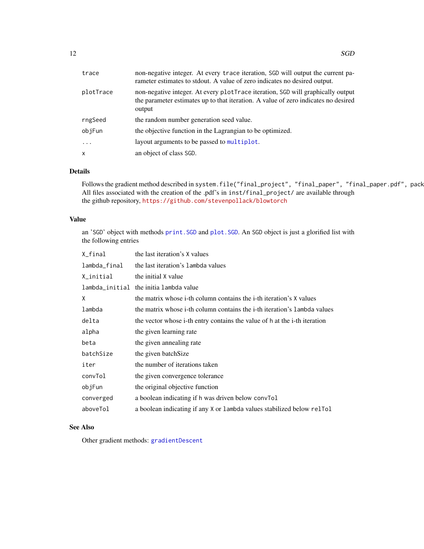<span id="page-11-0"></span>

| trace        | non-negative integer. At every trace iteration, SGD will output the current pa-<br>rameter estimates to stdout. A value of zero indicates no desired output.                    |
|--------------|---------------------------------------------------------------------------------------------------------------------------------------------------------------------------------|
| plotTrace    | non-negative integer. At every plotTrace iteration, SGD will graphically output<br>the parameter estimates up to that iteration. A value of zero indicates no desired<br>output |
| rngSeed      | the random number generation seed value.                                                                                                                                        |
| objFun       | the objective function in the Lagrangian to be optimized.                                                                                                                       |
| .            | layout arguments to be passed to multiplot.                                                                                                                                     |
| $\mathsf{x}$ | an object of class SGD.                                                                                                                                                         |

# Details

Follows the gradient method described in system.file("final\_project", "final\_paper", "final\_paper.pdf", pack All files associated with the creation of the .pdf's in inst/final\_project/ are available through the github repository, <https://github.com/stevenpollack/blowtorch>

### Value

an 'SGD' object with methods [print.SGD](#page-10-2) and [plot.SGD](#page-9-1). An SGD object is just a glorified list with the following entries

| X_final      | the last iteration's X values                                             |
|--------------|---------------------------------------------------------------------------|
| lambda_final | the last iteration's lambda values                                        |
| X_initial    | the initial X value                                                       |
|              | lambda_initial the initialambda value                                     |
| X            | the matrix whose i-th column contains the i-th iteration's X values       |
| lambda       | the matrix whose i-th column contains the i-th iteration's lambda values  |
| delta        | the vector whose i-th entry contains the value of h at the i-th iteration |
| alpha        | the given learning rate                                                   |
| beta         | the given annealing rate                                                  |
| batchSize    | the given batchSize                                                       |
| iter         | the number of iterations taken                                            |
| convTol      | the given convergence tolerance                                           |
| objFun       | the original objective function                                           |
| converged    | a boolean indicating if h was driven below convol                         |
| aboveTol     | a boolean indicating if any X or lambda values stabilized below relTol    |

# See Also

Other gradient methods: [gradientDescent](#page-7-1)